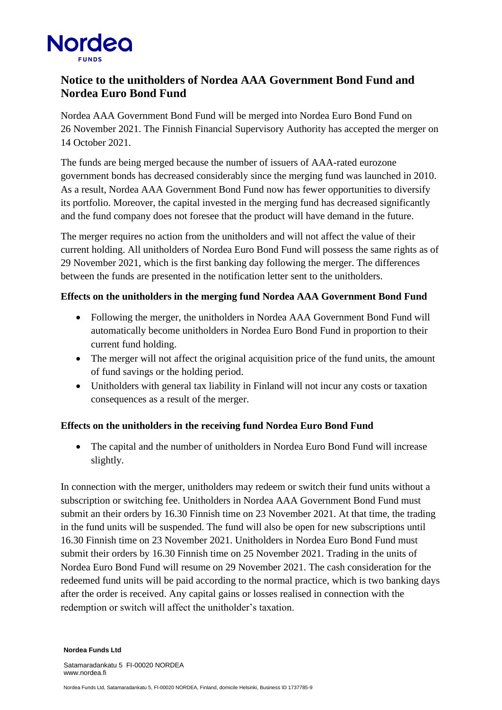

## **Notice to the unitholders of Nordea AAA Government Bond Fund and Nordea Euro Bond Fund**

Nordea AAA Government Bond Fund will be merged into Nordea Euro Bond Fund on 26 November 2021. The Finnish Financial Supervisory Authority has accepted the merger on 14 October 2021.

The funds are being merged because the number of issuers of AAA-rated eurozone government bonds has decreased considerably since the merging fund was launched in 2010. As a result, Nordea AAA Government Bond Fund now has fewer opportunities to diversify its portfolio. Moreover, the capital invested in the merging fund has decreased significantly and the fund company does not foresee that the product will have demand in the future.

The merger requires no action from the unitholders and will not affect the value of their current holding. All unitholders of Nordea Euro Bond Fund will possess the same rights as of 29 November 2021, which is the first banking day following the merger. The differences between the funds are presented in the notification letter sent to the unitholders.

## **Effects on the unitholders in the merging fund Nordea AAA Government Bond Fund**

- Following the merger, the unitholders in Nordea AAA Government Bond Fund will automatically become unitholders in Nordea Euro Bond Fund in proportion to their current fund holding.
- The merger will not affect the original acquisition price of the fund units, the amount of fund savings or the holding period.
- Unitholders with general tax liability in Finland will not incur any costs or taxation consequences as a result of the merger.

## **Effects on the unitholders in the receiving fund Nordea Euro Bond Fund**

• The capital and the number of unitholders in Nordea Euro Bond Fund will increase slightly.

In connection with the merger, unitholders may redeem or switch their fund units without a subscription or switching fee. Unitholders in Nordea AAA Government Bond Fund must submit an their orders by 16.30 Finnish time on 23 November 2021. At that time, the trading in the fund units will be suspended. The fund will also be open for new subscriptions until 16.30 Finnish time on 23 November 2021. Unitholders in Nordea Euro Bond Fund must submit their orders by 16.30 Finnish time on 25 November 2021. Trading in the units of Nordea Euro Bond Fund will resume on 29 November 2021. The cash consideration for the redeemed fund units will be paid according to the normal practice, which is two banking days after the order is received. Any capital gains or losses realised in connection with the redemption or switch will affect the unitholder's taxation.

**Nordea Funds Ltd**

Satamaradankatu 5 FI-00020 NORDEA www.nordea.fi